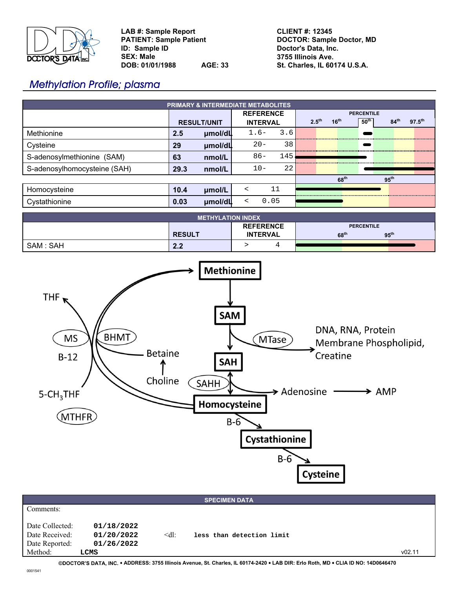

**LAB #: Sample Report PATIENT: Sample Patient ID: Sample ID SEX: Male DOB: 01/01/1988 AGE: 33** **CLIENT #: 12345 DOCTOR: Sample Doctor, MD Doctor's Data, Inc. 3755 Illinois Ave. St. Charles, IL 60174 U.S.A.**

# Methylation Profile; plasma

| <b>PRIMARY &amp; INTERMEDIATE METABOLITES</b> |                    |         |                  |        |                   |                   |                  |                  |                  |                    |  |
|-----------------------------------------------|--------------------|---------|------------------|--------|-------------------|-------------------|------------------|------------------|------------------|--------------------|--|
|                                               |                    |         | <b>REFERENCE</b> |        |                   | <b>PERCENTILE</b> |                  |                  |                  |                    |  |
|                                               | <b>RESULT/UNIT</b> |         | <b>INTERVAL</b>  |        | $2.5^{\text{th}}$ |                   | 16 <sup>th</sup> | $50^{\text{th}}$ | 84 <sup>th</sup> | $97.5^{\text{th}}$ |  |
| Methionine                                    | 2.5                | µmol/dL |                  | $1.6-$ | 3.6               |                   |                  |                  |                  |                    |  |
| Cysteine                                      | 29                 | µmol/dL |                  | $20 -$ | 38                |                   |                  |                  |                  |                    |  |
| S-adenosylmethionine (SAM)                    | 63                 | nmol/L  |                  | $86 -$ | 145               |                   |                  |                  |                  |                    |  |
| S-adenosylhomocysteine (SAH)                  | 29.3               | nmol/L  |                  | $10 -$ | 22                |                   |                  |                  |                  |                    |  |
|                                               |                    |         |                  |        |                   |                   |                  | 68 <sup>th</sup> |                  | 95 <sup>th</sup>   |  |
| Homocysteine                                  | 10.4               | umol/L  | $\prec$          |        | 11                |                   |                  |                  |                  |                    |  |
| Cystathionine                                 | 0.03               | µmol/dL | ≺                | 0.05   |                   |                   |                  |                  |                  |                    |  |

| <b>METHYLATION INDEX</b> |               |                  |                                      |  |  |  |  |  |  |
|--------------------------|---------------|------------------|--------------------------------------|--|--|--|--|--|--|
|                          |               | <b>REFERENCE</b> | <b>PERCENTILE</b>                    |  |  |  |  |  |  |
|                          | <b>RESULT</b> | <b>INTERVAL</b>  | 95 <sup>th</sup><br>68 <sup>th</sup> |  |  |  |  |  |  |
| SAM : SAH                | 2.2           |                  |                                      |  |  |  |  |  |  |

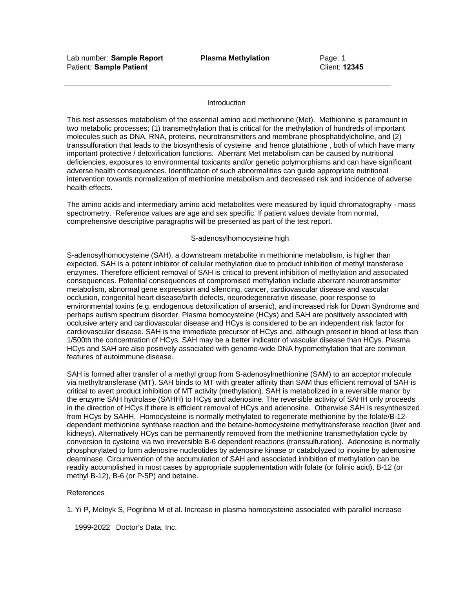## **Introduction**

This test assesses metabolism of the essential amino acid methionine (Met). Methionine is paramount in two metabolic processes; (1) transmethylation that is critical for the methylation of hundreds of important molecules such as DNA, RNA, proteins, neurotransmitters and membrane phosphatidylcholine, and (2) transsulfuration that leads to the biosynthesis of cysteine and hence glutathione , both of which have many important protective / detoxification functions. Aberrant Met metabolism can be caused by nutritional deficiencies, exposures to environmental toxicants and/or genetic polymorphisms and can have significant adverse health consequences. Identification of such abnormalities can guide appropriate nutritional intervention towards normalization of methionine metabolism and decreased risk and incidence of adverse health effects.

The amino acids and intermediary amino acid metabolites were measured by liquid chromatography - mass spectrometry. Reference values are age and sex specific. If patient values deviate from normal, comprehensive descriptive paragraphs will be presented as part of the test report.

# S-adenosylhomocysteine high

S-adenosylhomocysteine (SAH), a downstream metabolite in methionine metabolism, is higher than expected. SAH is a potent inhibitor of cellular methylation due to product inhibition of methyl transferase enzymes. Therefore efficient removal of SAH is critical to prevent inhibition of methylation and associated consequences. Potential consequences of compromised methylation include aberrant neurotransmitter metabolism, abnormal gene expression and silencing, cancer, cardiovascular disease and vascular occlusion, congenital heart disease/birth defects, neurodegenerative disease, poor response to environmental toxins (e.g. endogenous detoxification of arsenic), and increased risk for Down Syndrome and perhaps autism spectrum disorder. Plasma homocysteine (HCys) and SAH are positively associated with occlusive artery and cardiovascular disease and HCys is considered to be an independent risk factor for cardiovascular disease. SAH is the immediate precursor of HCys and, although present in blood at less than 1/500th the concentration of HCys, SAH may be a better indicator of vascular disease than HCys. Plasma HCys and SAH are also positively associated with genome-wide DNA hypomethylation that are common features of autoimmune disease.

SAH is formed after transfer of a methyl group from S-adenosylmethionine (SAM) to an acceptor molecule via methyltransferase (MT). SAH binds to MT with greater affinity than SAM thus efficient removal of SAH is critical to avert product inhibition of MT activity (methylation). SAH is metabolized in a reversible manor by the enzyme SAH hydrolase (SAHH) to HCys and adenosine. The reversible activity of SAHH only proceeds in the direction of HCys if there is efficient removal of HCys and adenosine. Otherwise SAH is resynthesized from HCys by SAHH. Homocysteine is normally methylated to regenerate methionine by the folate/B-12 dependent methionine synthase reaction and the betaine-homocysteine methyltransferase reaction (liver and kidneys). Alternatively HCys can be permanently removed from the methionine transmethylation cycle by conversion to cysteine via two irreversible B-6 dependent reactions (transsulfuration). Adenosine is normally phosphorylated to form adenosine nucleotides by adenosine kinase or catabolyzed to inosine by adenosine deaminase. Circumvention of the accumulation of SAH and associated inhibition of methylation can be readily accomplished in most cases by appropriate supplementation with folate (or folinic acid), B-12 (or methyl B-12), B-6 (or P-5P) and betaine.

# References

1. Yi P, Melnyk S, Pogribna M et al. Increase in plasma homocysteine associated with parallel increase

1999**-**2022 Doctor's Data, Inc.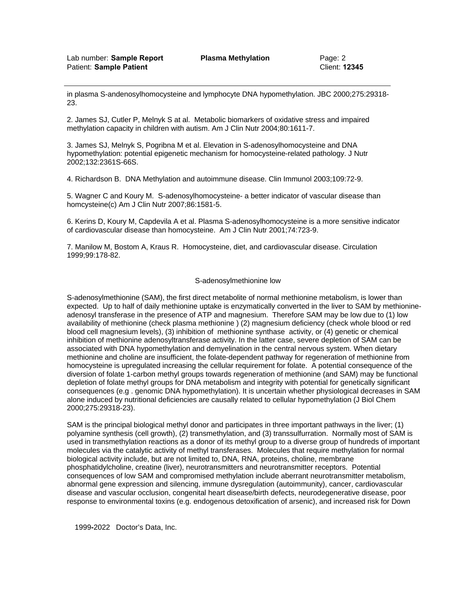in plasma S-andenosylhomocysteine and lymphocyte DNA hypomethylation. JBC 2000;275:29318- 23.

2. James SJ, Cutler P, Melnyk S at al. Metabolic biomarkers of oxidative stress and impaired methylation capacity in children with autism. Am J Clin Nutr 2004;80:1611-7.

3. James SJ, Melnyk S, Pogribna M et al. Elevation in S-adenosylhomocysteine and DNA hypomethylation: potential epigenetic mechanism for homocysteine-related pathology. J Nutr 2002;132:2361S-66S.

4. Richardson B. DNA Methylation and autoimmune disease. Clin Immunol 2003;109:72-9.

5. Wagner C and Koury M. S-adenosylhomocysteine- a better indicator of vascular disease than homcysteine(c) Am J Clin Nutr 2007;86:1581-5.

6. Kerins D, Koury M, Capdevila A et al. Plasma S-adenosylhomocysteine is a more sensitive indicator of cardiovascular disease than homocysteine. Am J Clin Nutr 2001;74:723-9.

7. Manilow M, Bostom A, Kraus R. Homocysteine, diet, and cardiovascular disease. Circulation 1999;99:178-82.

#### S-adenosylmethionine low

S-adenosylmethionine (SAM), the first direct metabolite of normal methionine metabolism, is lower than expected. Up to half of daily methionine uptake is enzymatically converted in the liver to SAM by methionineadenosyl transferase in the presence of ATP and magnesium. Therefore SAM may be low due to (1) low availability of methionine (check plasma methionine ) (2) magnesium deficiency (check whole blood or red blood cell magnesium levels), (3) inhibition of methionine synthase activity, or (4) genetic or chemical inhibition of methionine adenosyltransferase activity. In the latter case, severe depletion of SAM can be associated with DNA hypomethylation and demyelination in the central nervous system. When dietary methionine and choline are insufficient, the folate-dependent pathway for regeneration of methionine from homocysteine is upregulated increasing the cellular requirement for folate. A potential consequence of the diversion of folate 1-carbon methyl groups towards regeneration of methionine (and SAM) may be functional depletion of folate methyl groups for DNA metabolism and integrity with potential for genetically significant consequences (e.g . genomic DNA hypomethylation). It is uncertain whether physiological decreases in SAM alone induced by nutritional deficiencies are causally related to cellular hypomethylation (J Biol Chem 2000;275:29318-23).

SAM is the principal biological methyl donor and participates in three important pathways in the liver; (1) polyamine synthesis (cell growth), (2) transmethylation, and (3) transsulfurration. Normally most of SAM is used in transmethylation reactions as a donor of its methyl group to a diverse group of hundreds of important molecules via the catalytic activity of methyl transferases. Molecules that require methylation for normal biological activity include, but are not limited to, DNA, RNA, proteins, choline, membrane phosphatidylcholine, creatine (liver), neurotransmitters and neurotransmitter receptors. Potential consequences of low SAM and compromised methylation include aberrant neurotransmitter metabolism, abnormal gene expression and silencing, immune dysregulation (autoimmunity), cancer, cardiovascular disease and vascular occlusion, congenital heart disease/birth defects, neurodegenerative disease, poor response to environmental toxins (e.g. endogenous detoxification of arsenic), and increased risk for Down

1999**-**2022 Doctor's Data, Inc.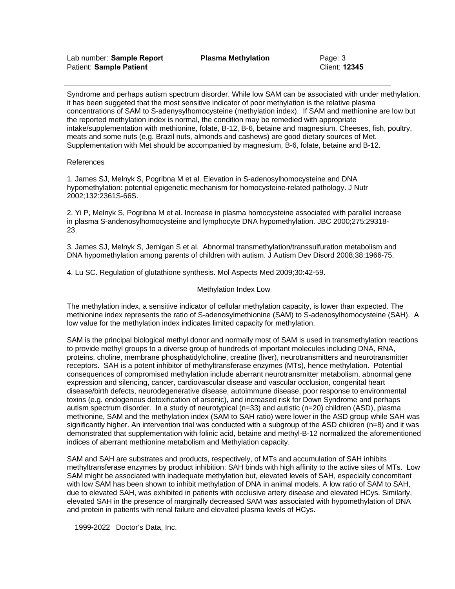Syndrome and perhaps autism spectrum disorder. While low SAM can be associated with under methylation, it has been suggeted that the most sensitive indicator of poor methylation is the relative plasma concentrations of SAM to S-adenysylhomocysteine (methylation index). If SAM and methionine are low but the reported methylation index is normal, the condition may be remedied with appropriate intake/supplementation with methionine, folate, B-12, B-6, betaine and magnesium. Cheeses, fish, poultry, meats and some nuts (e.g. Brazil nuts, almonds and cashews) are good dietary sources of Met. Supplementation with Met should be accompanied by magnesium, B-6, folate, betaine and B-12.

# References

1. James SJ, Melnyk S, Pogribna M et al. Elevation in S-adenosylhomocysteine and DNA hypomethylation: potential epigenetic mechanism for homocysteine-related pathology. J Nutr 2002;132:2361S-66S.

2. Yi P, Melnyk S, Pogribna M et al. Increase in plasma homocysteine associated with parallel increase in plasma S-andenosylhomocysteine and lymphocyte DNA hypomethylation. JBC 2000;275:29318- 23.

3. James SJ, Melnyk S, Jernigan S et al. Abnormal transmethylation/transsulfuration metabolism and DNA hypomethylation among parents of children with autism. J Autism Dev Disord 2008;38:1966-75.

4. Lu SC. Regulation of glutathione synthesis. Mol Aspects Med 2009;30:42-59.

## Methylation Index Low

The methylation index, a sensitive indicator of cellular methylation capacity, is lower than expected. The methionine index represents the ratio of S-adenosylmethionine (SAM) to S-adenosylhomocysteine (SAH). A low value for the methylation index indicates limited capacity for methylation.

SAM is the principal biological methyl donor and normally most of SAM is used in transmethylation reactions to provide methyl groups to a diverse group of hundreds of important molecules including DNA, RNA, proteins, choline, membrane phosphatidylcholine, creatine (liver), neurotransmitters and neurotransmitter receptors. SAH is a potent inhibitor of methyltransferase enzymes (MTs), hence methylation. Potential consequences of compromised methylation include aberrant neurotransmitter metabolism, abnormal gene expression and silencing, cancer, cardiovascular disease and vascular occlusion, congenital heart disease/birth defects, neurodegenerative disease, autoimmune disease, poor response to environmental toxins (e.g. endogenous detoxification of arsenic), and increased risk for Down Syndrome and perhaps autism spectrum disorder. In a study of neurotypical (n=33) and autistic (n=20) children (ASD), plasma methionine, SAM and the methylation index (SAM to SAH ratio) were lower in the ASD group while SAH was significantly higher. An intervention trial was conducted with a subgroup of the ASD children (n=8) and it was demonstrated that supplementation with folinic acid, betaine and methyl-B-12 normalized the aforementioned indices of aberrant methionine metabolism and Methylation capacity.

SAM and SAH are substrates and products, respectively, of MTs and accumulation of SAH inhibits methyltransferase enzymes by product inhibition: SAH binds with high affinity to the active sites of MTs. Low SAM might be associated with inadequate methylation but, elevated levels of SAH, especially concomitant with low SAM has been shown to inhibit methylation of DNA in animal models. A low ratio of SAM to SAH, due to elevated SAH, was exhibited in patients with occlusive artery disease and elevated HCys. Similarly, elevated SAH in the presence of marginally decreased SAM was associated with hypomethylation of DNA and protein in patients with renal failure and elevated plasma levels of HCys.

1999**-**2022 Doctor's Data, Inc.